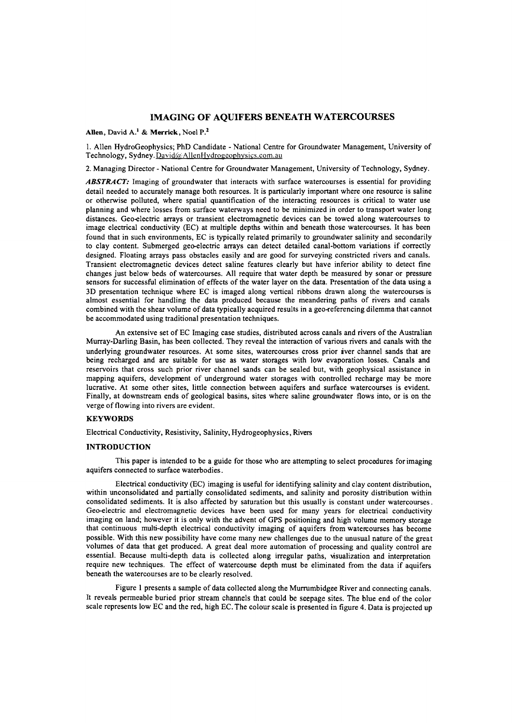# IMAGING OF AQUIFERS BENEATH WATERCOURSES

Allen, David A.<sup>1</sup> & Merrick, Noel  $P^2$ .

1. Allen HydroGeophysics; PhD Candidate - National Centre for Groundwater Management, University of Technology, Sydney. David@AllenHydrogeophysics.com.au

2. Managing Director - National Centre for Groundwater Management, University of Technology, Sydney.

*ABSTRACT:* Imaging of groundwater that interacts with surface watercourses is essential for providing detail needed to accurately manage both resources. It is particularly important where one resource is saline or otherwise polluted, where spatial quantification of the interacting resources is critical to water use planning and where losses from surface waterways need to be minimized in order to transport water long distances. Geo-electric arrays or transient electromagnetic devices can be towed along watercourses to image electrical conductivity (BC) at multiple depths within and beneath those watercourses. It has been found that in such environments, EC is typically related primarily to groundwater salinity and secondarily to clay content. Submerged geo-electric arrays can detect detailed canal-bottom variations if correctly designed. Floating arrays pass obstacles easily and are good for surveying constricted rivers and canals. Transient electromagnetic devices detect saline features clearly but have inferior ability to detect fine changes just below beds of watercourses. All require that water depth be measured by sonar or pressure sensors for successful elimination of effects of the water layer on the data. Presentation of the data using a 3D presentation technique where EC is imaged along vertical ribbons drawn along the watercourses is almost essential for handling the data produced because the meandering paths of rivers and canals combined with the shear volume of data typically acquired results in a geo-referencing dilemma that cannot be accommodated using traditional presentation techniques.

An extensive set of EC Imaging case studies, distributed across canals and rivers of the Australian Murray-Darling Basin, has been collected. They reveal the interaction of various rivers and canals with the underlying groundwater resources. At some sites, watercourses cross prior iver channel sands that are being recharged and are suitable for use as water storages with low evaporation losses. Canals and reservoirs that cross such prior river channel sands can be sealed but, with geophysical assistance in mapping aquifers, development of underground water storages with controlled recharge may be more lucrative. At some other sites, little connection between aquifers and surface watercourses is evident. Finally, at downstream ends of geological basins, sites where saline groundwater flows into, or is on the verge of flowing into rivers are evident.

# **KEYWORDS**

Electrical Conductivity, Resistivity, Salinity, Hydrogeophysics, Rivers

### INTRODUCTION

This paper is intended to be a guide for those who are attempting to select procedures for imaging aquifers connected to surface waterbodies.

Electrical conductivity (BC) imaging is useful for identifying salinity and clay content distribution, within unconsolidated and partially consolidated sediments, and salinity and porosity distribution within consolidated sediments. It is also affected by saturation but this usually is constant under watercourses. Geo-electric and electromagnetic devices have been used for many years for electrical conductivity imaging on land; however it is only with the advent of GPS positioning and high volume memory storage that continuous multi-depth electrical conductivity imaging of aquifers from watercourses has become possible. With this new possibility have come many new challenges due to the unusual nature of the great volumes of data that get produced. A great deal more automation of processing and quality control are essential. Because multi-depth data is collected along irregular paths, visualization and interpretation require new techniques. The effect of watercourse depth must be eliminated from the data if aquifers beneath the watercourses are to be clearly resolved.

Figure 1 presents a sample of data collected along the Murrumbidgee River and connecting canals. It reveals permeable buried prior stream channels that could be seepage sites. The blue end of the color scale represents low EC and the red, high EC. The colour scale is presented in figure 4. Data is projected up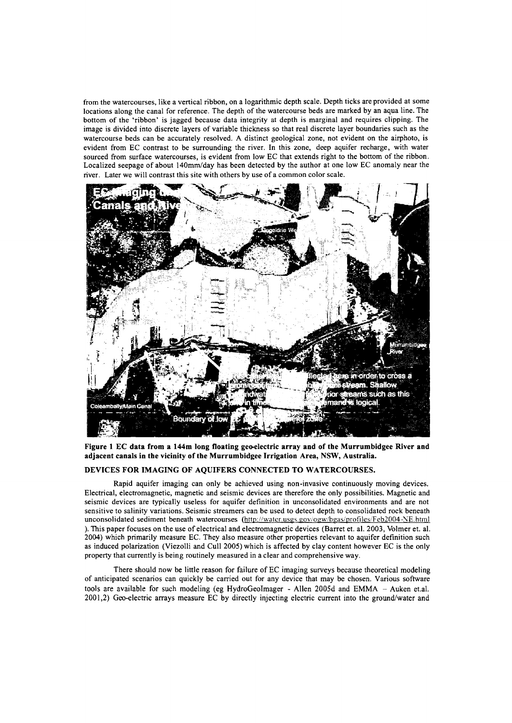from the watercourses, like a vertical ribbon, on a logarithmic depth scale. Depth ticks are provided at some locations along the canal for reference. The depth of the watercourse beds are marked by an aqua line. The bottom of the 'ribbon' is jagged because data integrity at depth is marginal and requires clipping. The image is divided into discrete layers of variable thickness so that real discrete layer boundaries such as the watercourse beds can be accurately resolved. A distinct geological zone, not evident on the airphoto, is evident from EC contrast to be surrounding the river. **In** this zone, deep aquifer recharge, with water sourced from surface watercourses, is evident from low EC that extends right to the bottom of the ribbon. Localized seepage of about l40mm/day has been detected by the author at one low EC anomaly near the river. Later we will contrast this site with others by use of a common color scale.



**Figure 1 EC data from a 144m long floating geo-electric array and of the Murrumbidgee River and adjacent canals in the vicinity of the Murrumbidgee Irrigation Area, NSW, Australia.**

# **DEVICES FOR IMAGING OF AQUIFERS CONNECTED TO WATERCOURSES.**

Rapid aquifer imaging can only be achieved using non-invasive continuously moving devices. Electrical, electromagnetic, magnetic and seismic devices are therefore the only possibilities. Magnetic and seismic devices are typically useless for aquifer definition in unconsolidated environments and are not sensitive to salinity variations. Seismic streamers can be used to detect depth to consolidated rock beneath unconsolidated sediment beneath watercourses (http://water.usgs.gov/ogw/bgas/profiles/Feb2004-NE.html ). This paper focuses on the use of electrical and electromagnetic devices (Barret et. a!. 2003, Volmer et. a!. 2004) which primarily measure EC. They also measure other properties relevant to aquifer definition such as induced polarization (Viezolli and Cull 2005) which is affected by clay content however EC is the only property that currently is being routinely measured in a clear and comprehensive way.

There should now be little reason for failure of EC imaging surveys because theoretical modeling of anticipated scenarios can quickly be carried out for any device that may be chosen. Various software tools are available for such modeling (eg HydroGeoImager - Allen 2005d and EMMA  $-$  Auken et.al. 2001,2) Geo-electric arrays measure EC by directly injecting electric current into the ground/water and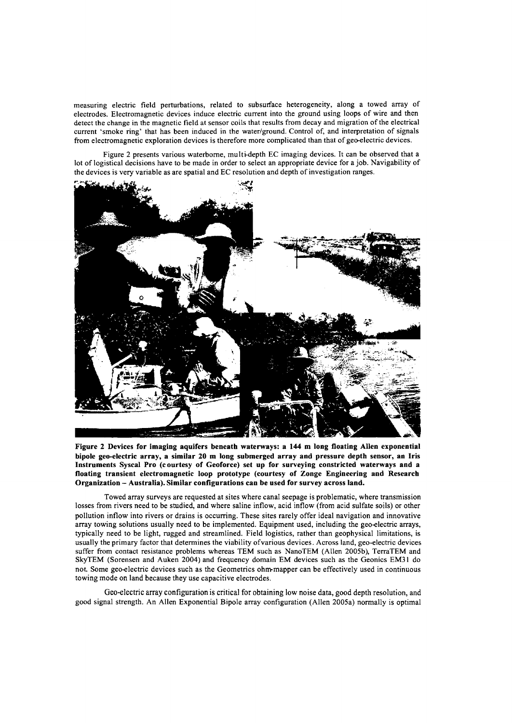measuring electric field perturbations, related to subsurface heterogeneity, along a towed array of electrodes. Electromagnetic devices induce electric current into the ground using loops of wire and then detect the change in the magnetic field at sensor coils that results from decay and migration of the electrical current 'smoke ring' that has been induced in the water/ground. Control of, and interpretation of signals from electromagnetic exploration devices is therefore more complicated than that of geo-electric devices.

Figure 2 presents various waterborne, multi-depth EC imaging devices. It can be observed that a lot of logistical decisions have to be made in order to select an appropriate device for a job. Navigability of the devices is very variable as are spatial and EC resolution and depth of investigation ranges.



**Figure 2 Devices for imaging aquifers beneath waterways: a 144 m long floating Allen exponential bipole geo-electric array, a similar 20 m long submerged array and pressure depth sensor, an Iris Instruments Syscal Pro (c ourtesy of Geoforce) set up for surveying constricted waterways and a floating transient electromagnetic loop prototype (courtesy of Zonge Engineering and Research Organization - Australia). Similar configurations can be used for survey across land.**

Towed array surveys are requested at sites where canal seepage is problematic, where transmission losses from rivers need to be studied, and where saline inflow, acid inflow (from acid sulfate soils) or other pollution inflow into rivers or drains is occurring. These sites rarely offer ideal navigation and innovative array towing solutions usually need to be implemented. Equipment used, including the geo-electric arrays, typically need to be light, rugged and streamlined. Field logistics, rather than geophysical limitations, is usually the primary factor that determines the viability of various devices. Across land, geo-electric devices suffer from contact resistance problems whereas TEM such as NanoTEM (Allen 2005b), TerraTEM and SkyTEM (Sorensen and Auken 2004) and frequency domain EM devices such as the Geonics EM3l do not. Some geo-electric devices such as the Geometries ohm-mapper can be effectively used in continuous towing mode on land because they use capacitive electrodes.

Geo-electric array configuration is critical for obtaining low noise data, good depth resolution, and good signal strength. An Allen Exponential Bipole array configuration (Allen 2005a) normally is optimal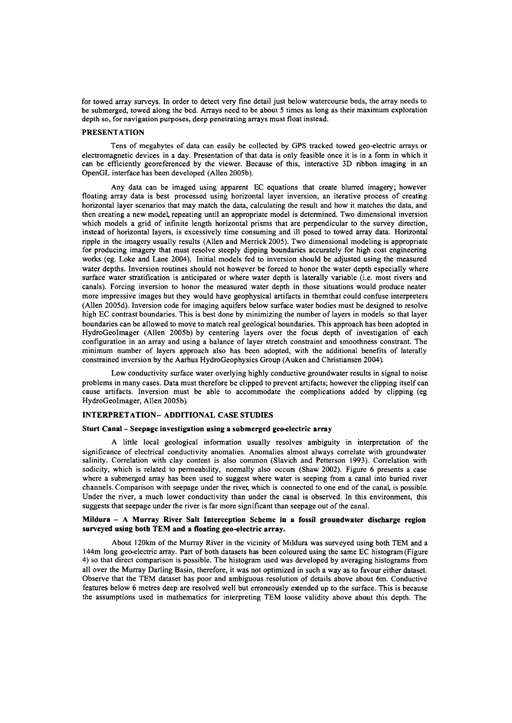for towed array surveys. In order to detect very fine detail just below watercourse beds, the array needs to be submerged, towed along the bed. Arrays need to be about 5 times as long as their maximum exploration depth so, for navigation purposes, deep penetrating arrays must float instead.

#### PRESENTATION

Tens of megabytes of data can easily be collected by GPS tracked towed geo-electric arrays or electromagnetic devices in a day. Presentation of that data is only feasible once it is in a form in which it can be efficiently georeferenced by the viewer. Because of this, interactive 3D ribbon imaging in an OpenGL interface has been developed (Allen 2005b).

Any data can be imaged using apparent EC equations that create blurred imagery; however floating array data is best processed using horizontal layer inversion, an iterative process of creatng horizontal layer scenarios that may match the data, calculating the result and how it matches the data, and then creating a new model, repeating until an appropriate model is determined. Two dimensional inversion which models a grid of infinite length horizontal prisms that are perpendicular to the survey direction, instead of horizontal layers, is excessively time consuming and ill posed to towed array data. Horizontal ripple in the imagery usually results (Allen and Merrick 2005). Two dimensional modeling is appropriate for producing imagery that must resolve steeply dipping boundaries accurately for high cost engineering works (eg. Loke and Lane 2004). Initial models fed to inversion should be adjusted using the measured water depths. Inversion routines should not however be forced to honor the water depth especially where surface water stratification is anticipated or where water depth is laterally variable (i.e, most rivers and canals). Forcing inversion to honor the measured water depth in those situations would produce neater more impressive images but they would have geophysical artifacts in them that could confuse interpreters (Allen 2005d). Inversion code for imaging aquifers below surface water bodies must be designed to resolve high EC contrast boundaries. This is best done by minimizing the number of layers in models so that layer boundaries can be allowed to move to match real geological boundaries. This approach has been adopted in HydroGeolmager (Allen 2005b) by centering layers over the focus depth of investigation of each configuration in an array and using a balance of layer stretch constraint and smoothness constrant. The minimum number of layers approach also has been adopted, with the additional benefits of laterally constrained inversion by the Aarhus HydroGeophysics Group (Auken and Christiansen 2004).

Low conductivity surface water overlying highly conductive groundwater results in signal to noise problems in many cases. Data must therefore be clipped to prevent artifacts; however the clipping itself can cause artifacts. Inversion must be able to accommodate the complications added by clipping (eg HydroGeolmager, Allen 2005b)

# INTERPRETATlON- ADDITIONAL CASE STUDIES

#### Sturt Canal- Seepage investigation using a submerged geo-electric array

A little local geological information usually resolves ambiguity in interpretation of the significance of electrical conductivity anomalies. Anomalies almost always correlate with groundwater salinity. Correlation with clay content is also common (Slavich and Petterson 1993). Correlation with sodicity, which is related to permeability, normally also occurs (Shaw 2002). Figure 6 presents a case where a submerged array has been used to suggest where water is seeping from a canal into buried river channels. Comparison with seepage under the rivet; which is connected to one end of the canal, is possible. Under the river, a much lower conductivity than under the canal is observed. In this environment, this suggests that seepage under the river is far more significant than seepage out of the canal.

### Mildura - A Murray River Salt Interception Scheme in a fossil groundwater discharge region surveyed using both TEM and a floating geo-electric array.

About 120km of the Murray River in the vicinity of Mildura was surveyed using both TEM and a 144m long geo-electric array. Part of both datasets has been coloured using the same EC histogram (Figure 4) so that direct comparison is possible. The histogram used was developed by averaging histograms from all over the Murray Darling Basin, therefore, it was not optimized in such a way as to favour either dataset. Observe that the TEM dataset has poor and ambiguous resolution of details above about 6m. Conductive features below 6 metres deep are resolved well but erroneously extended up to the surface. This is because the assumptions used in mathematics for interpreting TEM loose validity above about this depth. The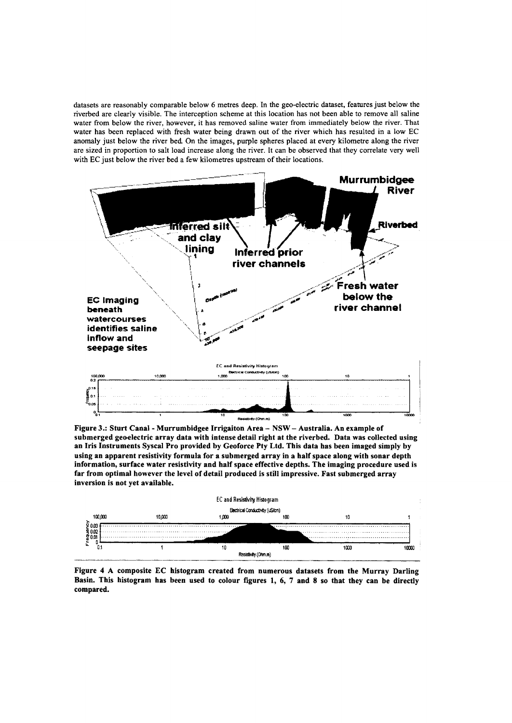datasets are reasonably comparable below 6 metres deep. In the geo-electric dataset, features just below the riverbed are clearly visible. The interception scheme at this location has not been able to remove al1 saline water from below the river, however, it has removed saline water from immediately below the river. That water has been replaced with fresh water being drawn out of the river which has resulted in a low EC anomaly just below the river bed On the images, purple spheres placed at every kilometre along the river are sized in proportion to salt load increase along the river. It can be observed that they correlate very wel1 with EC just below the river bed a few kilometres upstream of their locations.



Figure 3.: Sturt Canal - Murrumbidgee Irrigaiton Area - NSW - Australia. An example of submerged geoeleetric array data with intense detail right at the riverbed. Data was collected using an Iris Instruments Syscal Pro provided by Geoforce Pty Ltd. This data has been imaged simply by using an apparent resistivity formula for a submerged array in a half space along with sonar depth information, surface water resistivity and half space effective depths. The imaging procedure used is far from optimal however the level of detail produced is still impressive. Fast submerged array inversion is not yet available.



Figure 4 A composite EC histogram created from numerous datasets from the Murray Darling Basin. This histogram has been used to colour figures 1, 6, 7 and 8 so that they can be directly compared.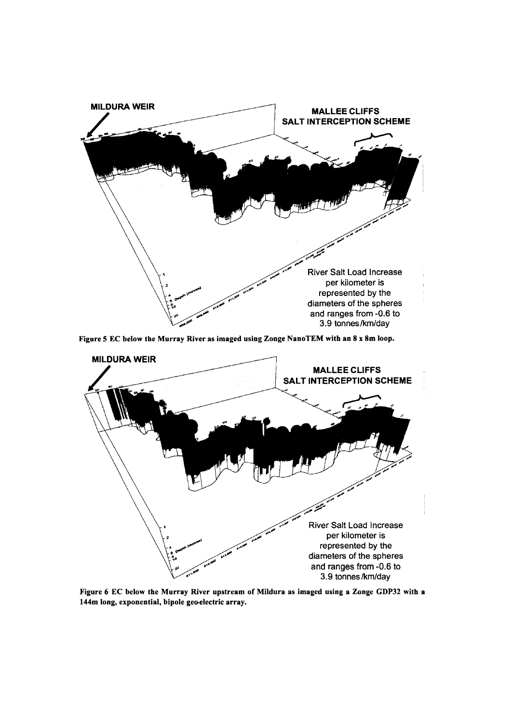

Figure 5 EC below the Murray River as imaged using Zonge NanoTEM with an 8 x 8m loop.



Figure 6 EC below the Murray River upstream of Mildura as imaged using a Zonge GDP32 with a 144m long, exponential, bipole geo-electric array.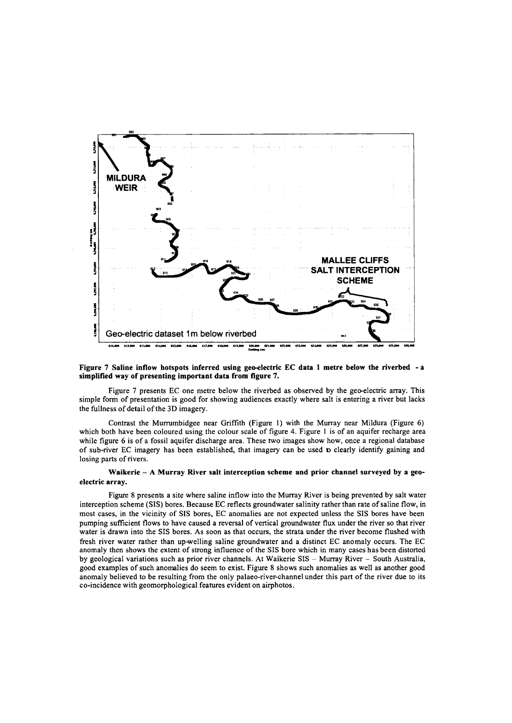

### Figure 7 Saline inflow hotspots inferred using geo-electric **EC** data 1 metre below the riverbed - a **simplified way of presenting important data from figure 7.**

Figure 7 presents EC one metre below the riverbed as observed by the geo-electric array. This simple form of presentation is good for showing audiences exactly where salt is entering a river but lacks the fullness of detail of the 3D imagery.

Contrast the Murrumbidgee near Griffith (Figure I) with the Murray near Mildura (Figure 6) which both have been coloured using the colour scale of figure 4. Figure I is of an aquifer recharge area while figure 6 is of a fossil aquifer discharge area. These two images show how, once a regional database of sub-river EC imagery has been established, that imagery can be used to clearly identify gaining and losing parts of rivers.

### **Waikerie - A Murray River salt interception scheme and prior channel surveyed by a geoelectric array.**

Figure 8 presents a site where saline inflow into the Murray River is being prevented by salt water interception scheme (SIS) bores. Because EC reflects groundwater salinity rather than rate of saline flow, in most cases, in the vicinity of SIS bores, EC anomalies are not expected unless the SIS bores have been pumping sufficient flows to have caused a reversal of vertical groundwater flux under the river so that river water is drawn into the SIS bores. As soon as that occurs, the strata under the river become flushed with fresh river water rather than up-welling saline groundwater and a distinct EC anomaly occurs. The EC anomaly then shows the extent of strong influence of the SIS bore which in many cases has been distorted by geological variations such as prior river channels. At Waikerie SIS - Murray River - South Australia, good examples of such anomalies do seem to exist. Figure 8 shows such anomalies as well as another good anomaly believed to be resulting from the only palaeo-river-channel under this part of the river due to its co-incidence with geomorphological features evident on airphotos.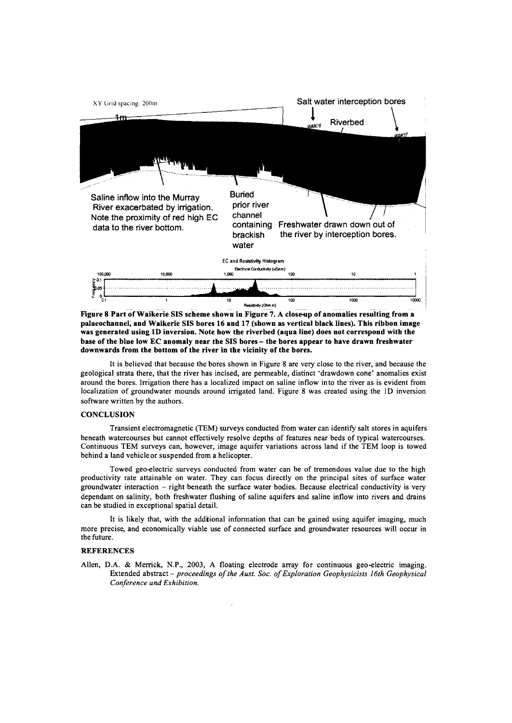

Figure 8 Part of Waikerie SIS scheme shown in Figure 7. A close-up of anomalies resulting from a palaeochannel, and Waikerie SIS bores 16 and 17 (shown as vertical black lines). This ribbon image was generated using ID inversion. Note how the riverbed (aqua line) does not correspond with the base of the blue low EC anomaly near the SIS bores - the bores appear to have drawn freshwater downwards from the bottom of the river in the vicinity of the bores.

It is believed that because the bores shown in Figure 8 are very close to the river, and because the geological strata there, that the river has incised, are permeable, distinct 'drawdown cone' anomalies exist around the bores. Irrigation there has a localized impact on saline inflow into the river as is evident from localization of groundwater mounds around irrigated land. Figure 8 was created using the lD inversion software written by the authors.

### **CONCLUSION**

Transient electromagnetic (TEM) surveys conducted from water can identify salt stores in aquifers beneath watercourses but cannot effectively resolve depths of features near beds of typical watercourses. Continuous TEM surveys can, however, image aquifer variations across land if the TEM loop is towed behind a land vehicle or suspended from a helicopter.

Towed geo-electric surveys conducted from water can be of tremendous value due to the high productivity rate attainable on water. They can focus directly on the principal sites of surface water groundwater interaction - right beneath the surface water bodies. Because electrical conductivity is very dependant on salinity, both freshwater flushing of saline aquifers and saline inflow into rivers and drains can be studied in exceptional spatial detail.

It is likely that, with the addtional information that can be gained using aquifer imaging, much more precise, and economically viable use of connected surface and groundwater resources will occur in the future.

#### **REFERENCES**

Allen, D.A. & Merrick, N.P., 2003, A floating electrode array for continuous geo-electric imaging. Extended abstract - *proceedings of the Aust. Soc. of Exploration Geophysicists 16th Geophysical Conference and Exhibition. .*